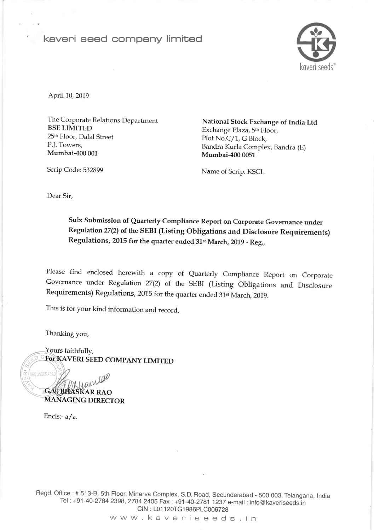## kaveni seed company lirnited



April 10, 2019

The Corporate Relations Department BSE LIMITED 25<sup>th</sup> Floor, Dalal Street P.l. Towers, Mumbai-400 001

National Stock Exchange of India Ltd Exchange Plaza, 5<sup>th</sup> Floor, Plot No.C/1, G Block, Bandra Kurla Complex, Bandra (E) Mumbai-400 0051

Scrip Code: 532899 Name of Scrip: KSCL

Dear Sir,

Sub: Submission of Quarterly Compliance Report on Corporate Govemance under Regulation 27(2) of the sEBI (Listing obligations and Disclosure Requirements) Regulations, 2015 for the quarter ended 31<sup>st</sup> March, 2019 - Reg.,

Please find enclosed herewith a copy of Quarterly Compliance Report on Corporate Governance under Regulation 27(2) of the SEBI (Listing Obligations and Disclosure Requirements) Regulations, 2015 for the quarter ended 31<sup>st</sup> March, 2019.

This is fot your kind information and record.

Thanking you,

Yours faithfully, For KAVERI SEED COMPANY LIMITED

GA BHASKAR RAO **MANAGING DIRECTOR** 

Encls:- a/a.

**UNDERABAD** 

Regd. office :# 513-8, sth Floor, Minerva complex, s.D. Road, secunderabad - 5oo oo3. Telangana, lndia Tel: +91-40-2784 2398, 2784 2405 Fax: +91-40-2781 1237 e-mail: info@kaveriseeds.in CIN: L01120TG1986PLC006728

www kaveniseeds in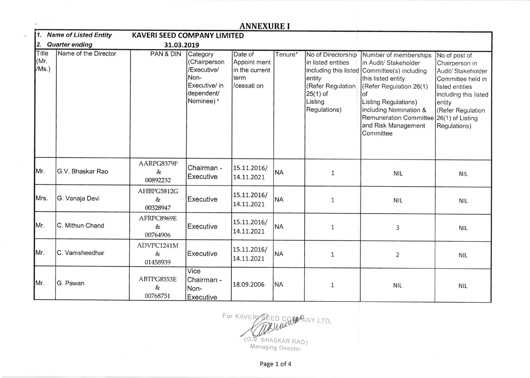|                             | <b>ANNEXURE I</b>        |                                    |                                                                                              |                                                                  |           |                                                                                                                  |                                                                                                                                                                                                                                                                               |                                                                                                                                                                                           |  |  |  |  |
|-----------------------------|--------------------------|------------------------------------|----------------------------------------------------------------------------------------------|------------------------------------------------------------------|-----------|------------------------------------------------------------------------------------------------------------------|-------------------------------------------------------------------------------------------------------------------------------------------------------------------------------------------------------------------------------------------------------------------------------|-------------------------------------------------------------------------------------------------------------------------------------------------------------------------------------------|--|--|--|--|
|                             | 1. Name of Listed Entity | <b>KAVERI SEED COMPANY LIMITED</b> |                                                                                              |                                                                  |           |                                                                                                                  |                                                                                                                                                                                                                                                                               |                                                                                                                                                                                           |  |  |  |  |
| 2.<br><b>Quarter ending</b> |                          | 31.03.2019                         |                                                                                              |                                                                  |           |                                                                                                                  |                                                                                                                                                                                                                                                                               |                                                                                                                                                                                           |  |  |  |  |
| Title<br>(Mr.<br>/Ms.)      | Name of the Director     | PAN & DIN                          | Category<br>(Chairperson<br>/Executive/<br>Non-<br>Executive/ in<br>dependent/<br>Nominee) & | Date of<br>Appoint ment<br>in the current<br>term<br>/cessati on | Tenure*   | No of Directorship<br>in listed entities<br>entity<br>(Refer Regulation<br>$25(1)$ of<br>Listing<br>Regulations) | Number of memberships<br>in Audit/ Stakeholder<br>including this listed Committee(s) including<br>this listed entity<br>(Refer Regulation 26(1)<br>lof<br>Listing Regulations)<br>including Nomination &<br><b>Remuneration Committee</b><br>and Risk Management<br>Committee | No of post of<br>Chairperson in<br>Audit/ Stakeholder<br>Committee held in<br>listed entities<br>including this listed<br>entity<br>(Refer Regulation<br>26(1) of Listing<br>Regulations) |  |  |  |  |
| Mr.                         | G.V. Bhaskar Rao         | AARPG8379F<br>&<br>00892232        | Chairman -<br>Executive                                                                      | 15.11.2016/<br>14.11.2021                                        | <b>NA</b> | 1                                                                                                                | <b>NIL</b>                                                                                                                                                                                                                                                                    | <b>NIL</b>                                                                                                                                                                                |  |  |  |  |
| Mrs.                        | G. Vanaja Devi           | AHBPG5812G<br>&<br>00328947        | <b>Executive</b>                                                                             | 15.11.2016/<br>14.11.2021                                        | <b>NA</b> | $\mathbf{1}$                                                                                                     | <b>NIL</b>                                                                                                                                                                                                                                                                    | <b>NIL</b>                                                                                                                                                                                |  |  |  |  |
| Mr.                         | C. Mithun Chand          | AFRPC8969E<br>&<br>00764906        | Executive                                                                                    | 15.11.2016/<br>14.11.2021                                        | <b>NA</b> | $\mathbf{1}$                                                                                                     | 3                                                                                                                                                                                                                                                                             | <b>NIL</b>                                                                                                                                                                                |  |  |  |  |
| Mr.                         | C. Vamsheedhar           | ADVPC1241M<br>&<br>01458939        | Executive                                                                                    | 15.11.2016/<br>14.11.2021                                        | <b>NA</b> | 1                                                                                                                | $\overline{2}$                                                                                                                                                                                                                                                                | <b>NIL</b>                                                                                                                                                                                |  |  |  |  |
| Mr.                         | G. Pawan                 | ABTPG8553E<br>&<br>00768751        | Vice<br>Chairman -<br>Non-<br>Executive                                                      | 18.09.2006                                                       | <b>NA</b> | $\mathbf{1}$                                                                                                     | <b>NIL</b>                                                                                                                                                                                                                                                                    | <b>NIL</b>                                                                                                                                                                                |  |  |  |  |

 $\mathcal{L}(\mathbb{R})$ 

For KAVERYSEED CONCRANY LTD

(G .V. BHASKAR RAO)<br>Managing Director